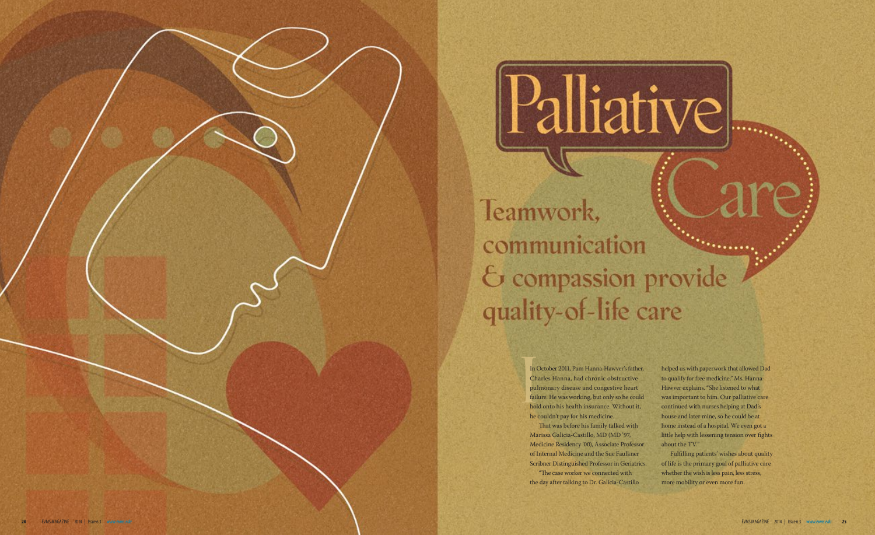Teamwork, communication & compassion provide quality-of-life care

> In (Ch<br>
> Ch<br>
> pul<br>
> fail<br>
> hol In October 2011, Pam Hanna-Hawver's father, Charles Hanna, had chronic obstructive pulmonary disease and congestive heart failure. He was working, but only so he could hold onto his health insurance. Without it, he couldn't pay for his medicine. That was before his family talked with

## Palliative

"The case worker we connected with the day after talking to Dr. Galicia-Castillo

Marissa Galicia-Castillo, MD (MD '97, Medicine Residency '00), Associate Professor of Internal Medicine and the Sue Faulkner Scribner Distinguished Professor in Geriatrics.

 was important to him. Our palliative care continued with nurses helping at Dad's little help with lessening tension over fghts helped us with paperwork that allowed Dad to qualify for free medicine," Ms. Hanna-Hawver explains. "She listened to what house and later mine, so he could be at home instead of a hospital. We even got a about the TV."

Fulflling patients' wishes about quality of life is the primary goal of palliative care whether the wish is less pain, less stress, more mobility or even more fun.